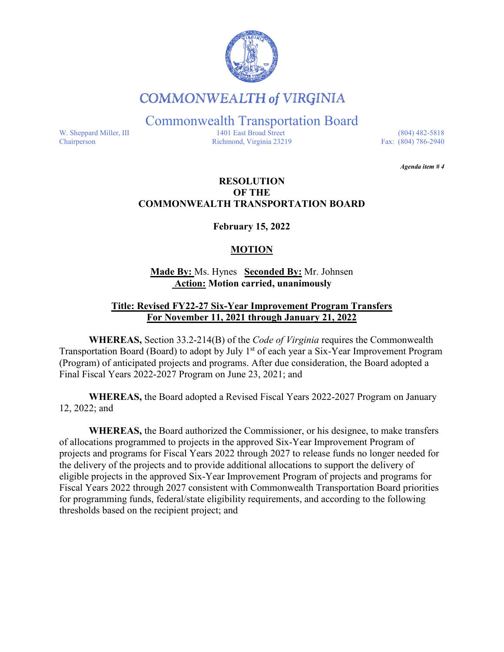

# **COMMONWEALTH of VIRGINIA**

Commonwealth Transportation Board

W. Sheppard Miller, III 1401 East Broad Street (804) 482-5818<br>Chairperson Richmond, Virginia 23219 Fax: (804) 786-2940 Richmond, Virginia 23219

*Agenda item # 4* 

#### **RESOLUTION OF THE COMMONWEALTH TRANSPORTATION BOARD**

**February 15, 2022**

## **MOTION**

**Made By:** Ms. Hynes **Seconded By:** Mr. Johnsen **Action: Motion carried, unanimously**

#### **Title: Revised FY22-27 Six-Year Improvement Program Transfers For November 11, 2021 through January 21, 2022**

**WHEREAS,** Section 33.2-214(B) of the *Code of Virginia* requires the Commonwealth Transportation Board (Board) to adopt by July 1<sup>st</sup> of each year a Six-Year Improvement Program (Program) of anticipated projects and programs. After due consideration, the Board adopted a Final Fiscal Years 2022-2027 Program on June 23, 2021; and

**WHEREAS,** the Board adopted a Revised Fiscal Years 2022-2027 Program on January 12, 2022; and

**WHEREAS,** the Board authorized the Commissioner, or his designee, to make transfers of allocations programmed to projects in the approved Six-Year Improvement Program of projects and programs for Fiscal Years 2022 through 2027 to release funds no longer needed for the delivery of the projects and to provide additional allocations to support the delivery of eligible projects in the approved Six-Year Improvement Program of projects and programs for Fiscal Years 2022 through 2027 consistent with Commonwealth Transportation Board priorities for programming funds, federal/state eligibility requirements, and according to the following thresholds based on the recipient project; and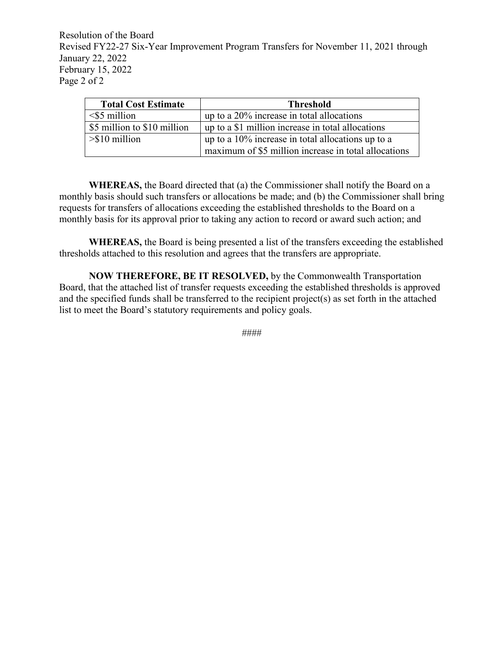Resolution of the Board Revised FY22-27 Six-Year Improvement Program Transfers for November 11, 2021 through January 22, 2022 February 15, 2022 Page 2 of 2

| <b>Total Cost Estimate</b>  | <b>Threshold</b>                                     |
|-----------------------------|------------------------------------------------------|
| $<$ \$5 million             | up to a 20% increase in total allocations            |
| \$5 million to \$10 million | up to a \$1 million increase in total allocations    |
| $>\frac{1}{2}$ 10 million   | up to a $10\%$ increase in total allocations up to a |
|                             | maximum of \$5 million increase in total allocations |

**WHEREAS,** the Board directed that (a) the Commissioner shall notify the Board on a monthly basis should such transfers or allocations be made; and (b) the Commissioner shall bring requests for transfers of allocations exceeding the established thresholds to the Board on a monthly basis for its approval prior to taking any action to record or award such action; and

**WHEREAS,** the Board is being presented a list of the transfers exceeding the established thresholds attached to this resolution and agrees that the transfers are appropriate.

**NOW THEREFORE, BE IT RESOLVED,** by the Commonwealth Transportation Board, that the attached list of transfer requests exceeding the established thresholds is approved and the specified funds shall be transferred to the recipient project(s) as set forth in the attached list to meet the Board's statutory requirements and policy goals.

####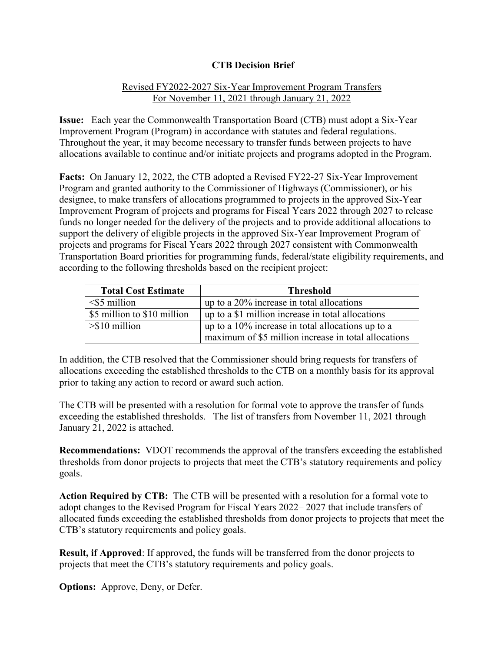### **CTB Decision Brief**

#### Revised FY2022-2027 Six-Year Improvement Program Transfers For November 11, 2021 through January 21, 2022

**Issue:** Each year the Commonwealth Transportation Board (CTB) must adopt a Six-Year Improvement Program (Program) in accordance with statutes and federal regulations. Throughout the year, it may become necessary to transfer funds between projects to have allocations available to continue and/or initiate projects and programs adopted in the Program.

**Facts:** On January 12, 2022, the CTB adopted a Revised FY22-27 Six-Year Improvement Program and granted authority to the Commissioner of Highways (Commissioner), or his designee, to make transfers of allocations programmed to projects in the approved Six-Year Improvement Program of projects and programs for Fiscal Years 2022 through 2027 to release funds no longer needed for the delivery of the projects and to provide additional allocations to support the delivery of eligible projects in the approved Six-Year Improvement Program of projects and programs for Fiscal Years 2022 through 2027 consistent with Commonwealth Transportation Board priorities for programming funds, federal/state eligibility requirements, and according to the following thresholds based on the recipient project:

| <b>Total Cost Estimate</b>  | <b>Threshold</b>                                     |
|-----------------------------|------------------------------------------------------|
| $<$ \$5 million             | up to a 20% increase in total allocations            |
| \$5 million to \$10 million | up to a \$1 million increase in total allocations    |
| $>\frac{1}{2}$ 10 million   | up to a 10% increase in total allocations up to a    |
|                             | maximum of \$5 million increase in total allocations |

In addition, the CTB resolved that the Commissioner should bring requests for transfers of allocations exceeding the established thresholds to the CTB on a monthly basis for its approval prior to taking any action to record or award such action.

The CTB will be presented with a resolution for formal vote to approve the transfer of funds exceeding the established thresholds. The list of transfers from November 11, 2021 through January 21, 2022 is attached.

**Recommendations:** VDOT recommends the approval of the transfers exceeding the established thresholds from donor projects to projects that meet the CTB's statutory requirements and policy goals.

**Action Required by CTB:** The CTB will be presented with a resolution for a formal vote to adopt changes to the Revised Program for Fiscal Years 2022– 2027 that include transfers of allocated funds exceeding the established thresholds from donor projects to projects that meet the CTB's statutory requirements and policy goals.

**Result, if Approved**: If approved, the funds will be transferred from the donor projects to projects that meet the CTB's statutory requirements and policy goals.

**Options:** Approve, Deny, or Defer.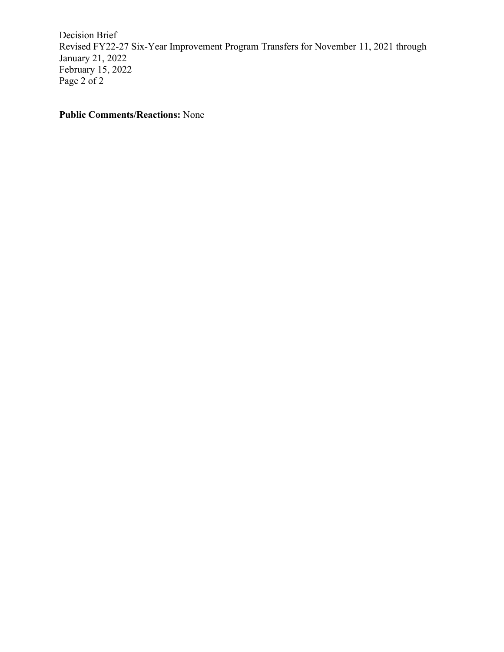Decision Brief Revised FY22-27 Six-Year Improvement Program Transfers for November 11, 2021 through January 21, 2022 February 15, 2022 Page 2 of 2

**Public Comments/Reactions:** None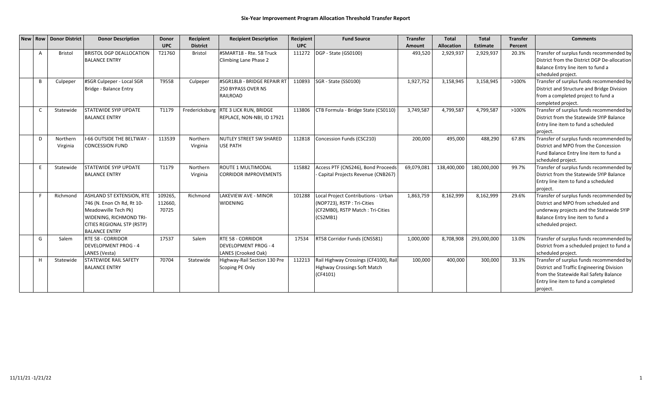|    | New   Row   Donor District | <b>Donor Description</b>                                                                                                                                                       | <b>Donor</b>               | Recipient            | <b>Recipient Description</b>                                            | Recipient  | <b>Fund Source</b>                                                                                               | <b>Transfer</b> | <b>Total</b>      | <b>Total</b> | <b>Transfer</b> | <b>Comments</b>                                                                                                                                                                        |
|----|----------------------------|--------------------------------------------------------------------------------------------------------------------------------------------------------------------------------|----------------------------|----------------------|-------------------------------------------------------------------------|------------|------------------------------------------------------------------------------------------------------------------|-----------------|-------------------|--------------|-----------------|----------------------------------------------------------------------------------------------------------------------------------------------------------------------------------------|
|    |                            |                                                                                                                                                                                | <b>UPC</b>                 | <b>District</b>      |                                                                         | <b>UPC</b> |                                                                                                                  | Amount          | <b>Allocation</b> | Estimate     | Percent         |                                                                                                                                                                                        |
| A  | Bristol                    | <b>BRISTOL DGP DEALLOCATION</b><br><b>BALANCE ENTRY</b>                                                                                                                        | T21760                     | Bristol              | #SMART18 - Rte. 58 Truck<br>Climbing Lane Phase 2                       | 111272     | DGP - State (GS0100)                                                                                             | 493,520         | 2,929,937         | 2,929,937    | 20.3%           | Transfer of surplus funds recommended by<br>District from the District DGP De-allocation<br>Balance Entry line item to fund a<br>scheduled project.                                    |
| В  | Culpeper                   | #SGR Culpeper - Local SGR<br>Bridge - Balance Entry                                                                                                                            | T9558                      | Culpeper             | #SGR18LB - BRIDGE REPAIR RT<br>250 BYPASS OVER NS<br>RAILROAD           | 110893     | SGR - State (SS0100)                                                                                             | 1,927,752       | 3,158,945         | 3,158,945    | >100%           | Transfer of surplus funds recommended by<br>District and Structure and Bridge Division<br>from a completed project to fund a<br>completed project.                                     |
| C  | Statewide                  | STATEWIDE SYIP UPDATE<br><b>BALANCE ENTRY</b>                                                                                                                                  | T1179                      | Fredericksburg       | <b>RTE 3 LICK RUN, BRIDGE</b><br>REPLACE, NON-NBI, ID 17921             | 113806     | CTB Formula - Bridge State (CS0110)                                                                              | 3,749,587       | 4,799,587         | 4,799,587    | >100%           | Transfer of surplus funds recommended by<br>District from the Statewide SYIP Balance<br>Entry line item to fund a scheduled<br>project.                                                |
| D  | Northern<br>Virginia       | <b>I-66 OUTSIDE THE BELTWAY -</b><br><b>CONCESSION FUND</b>                                                                                                                    | 113539                     | Northern<br>Virginia | <b>NUTLEY STREET SW SHARED</b><br><b>USE PATH</b>                       | 112818     | Concession Funds (CSC210)                                                                                        | 200,000         | 495,000           | 488,290      | 67.8%           | Transfer of surplus funds recommended by<br>District and MPO from the Concession<br>Fund Balance Entry line item to fund a<br>scheduled project.                                       |
| E  | Statewide                  | STATEWIDE SYIP UPDATE<br><b>BALANCE ENTRY</b>                                                                                                                                  | T1179                      | Northern<br>Virginia | <b>ROUTE 1 MULTIMODAL</b><br><b>CORRIDOR IMPROVEMENTS</b>               | 115882     | Access PTF (CNS246), Bond Proceeds<br>Capital Projects Revenue (CNB267)                                          | 69,079,081      | 138,400,000       | 180,000,000  | 99.7%           | Transfer of surplus funds recommended by<br>District from the Statewide SYIP Balance<br>Entry line item to fund a scheduled<br>project.                                                |
| F. | Richmond                   | <b>ASHLAND ST EXTENSION, RTE</b><br>746 (N. Enon Ch Rd, Rt 10-<br>Meadowville Tech Pk)<br>WIDENING, RICHMOND TRI-<br><b>CITIES REGIONAL STP (RSTP)</b><br><b>BALANCE ENTRY</b> | 109265<br>112660,<br>70725 | Richmond             | <b>LAKEVIEW AVE - MINOR</b><br><b>WIDENING</b>                          | 101288     | Local Project Contributions - Urban<br>(NOP723), RSTP: Tri-Cities<br>(CF2MB0), RSTP Match: Tri-Cities<br>CS2MB1) | 1,863,759       | 8,162,999         | 8,162,999    | 29.6%           | Transfer of surplus funds recommended by<br>District and MPO from scheduled and<br>underway projects and the Statewide SYIP<br>Balance Entry line item to fund a<br>scheduled project. |
| G  | Salem                      | <b>RTE 58 - CORRIDOR</b><br><b>DEVELOPMENT PROG - 4</b><br>LANES (Vesta)                                                                                                       | 17537                      | Salem                | RTE 58 - CORRIDOR<br><b>DEVELOPMENT PROG - 4</b><br>LANES (Crooked Oak) | 17534      | RT58 Corridor Funds (CNS581)                                                                                     | 1,000,000       | 8,708,908         | 293,000,000  | 13.0%           | Transfer of surplus funds recommended by<br>District from a scheduled project to fund a<br>scheduled project.                                                                          |
| H  | Statewide                  | <b>STATEWIDE RAIL SAFETY</b><br><b>BALANCE ENTRY</b>                                                                                                                           | 70704                      | Statewide            | Highway-Rail Section 130 Pre<br>Scoping PE Only                         | 112213     | Rail Highway Crossings (CF4100), Rail<br>Highway Crossings Soft Match<br>CF4101)                                 | 100,000         | 400,000           | 300,000      | 33.3%           | Transfer of surplus funds recommended by<br>District and Traffic Engineering Division<br>from the Statewide Rail Safety Balance<br>Entry line item to fund a completed<br>project.     |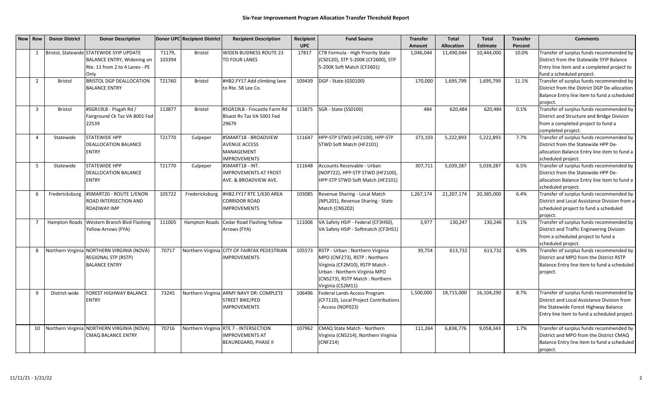| <b>New Row</b> | <b>Donor District</b> | <b>Donor Description</b>                                                                                         |                  | Donor UPC Recipient District | <b>Recipient Description</b>                                                                    | Recipient  | <b>Fund Source</b>                                                                                                                                                                          | <b>Transfer</b> | Total             | <b>Total</b>    | <b>Transfer</b> | <b>Comments</b>                                                                                                                                                                 |
|----------------|-----------------------|------------------------------------------------------------------------------------------------------------------|------------------|------------------------------|-------------------------------------------------------------------------------------------------|------------|---------------------------------------------------------------------------------------------------------------------------------------------------------------------------------------------|-----------------|-------------------|-----------------|-----------------|---------------------------------------------------------------------------------------------------------------------------------------------------------------------------------|
|                |                       |                                                                                                                  |                  |                              |                                                                                                 | <b>UPC</b> |                                                                                                                                                                                             | Amount          | <b>Allocation</b> | <b>Estimate</b> | Percent         |                                                                                                                                                                                 |
| $\mathbf{1}$   |                       | Bristol, Statewide STATEWIDE SYIP UPDATE<br>BALANCE ENTRY, Widening on<br>Rte. 11 from 2 to 4 Lanes - PE<br>Only | T1179,<br>103394 | Bristol                      | <b>WIDEN BUSINESS ROUTE 23</b><br><b>TO FOUR LANES</b>                                          | 17817      | CTB Formula - High Priority State<br>(CS0120), STP 5-200K (CF2600), STP<br>5-200K Soft Match (CF2601)                                                                                       | 1,046,044       | 11,490,044        | 10,444,000      | 10.0%           | Transfer of surplus funds recommended by<br>District from the Statewide SYIP Balance<br>Entry line item and a completed project to<br>fund a scheduled project.                 |
| $\overline{2}$ | Bristol               | <b>BRISTOL DGP DEALLOCATION</b><br><b>BALANCE ENTRY</b>                                                          | T21760           | Bristol                      | #HB2.FY17 Add climbing lane<br>to Rte. 58 Lee Co.                                               | 109439     | DGP - State (GS0100)                                                                                                                                                                        | 170,000         | 1,695,799         | 1,695,799       | 11.1%           | Transfer of surplus funds recommended by<br>District from the District DGP De-allocation<br>Balance Entry line item to fund a scheduled<br>project.                             |
| $\overline{3}$ | <b>Bristol</b>        | #SGR19LB - Pisgah Rd /<br>Fairground Ck Taz VA 8001 Fed<br>22539                                                 | 113877           | Bristol                      | #SGR19LB - Fincastle Farm Rd<br>Bluest Rv Taz VA 5001 Fed<br>29679                              | 113875     | SGR - State (SS0100)                                                                                                                                                                        | 484             | 620,484           | 620,484         | 0.1%            | Transfer of surplus funds recommended by<br>District and Structure and Bridge Division<br>from a completed project to fund a<br>completed project.                              |
| $\Delta$       | Statewide             | <b>STATEWIDE HPP</b><br>DEALLOCATION BALANCE<br><b>ENTRY</b>                                                     | T21770           | Culpeper                     | #SMART18 - BROADVIEW<br><b>AVENUE ACCESS</b><br>MANAGEMENT<br><b>IMPROVEMENTS</b>               | 111647     | HPP-STP STWD (HF2100), HPP-STP<br>STWD Soft Match (HF2101)                                                                                                                                  | 373,103         | 5,222,893         | 5,222,893       | 7.7%            | Transfer of surplus funds recommended by<br>District from the Statewide HPP De-<br>allocation Balance Entry line item to fund a<br>scheduled project.                           |
| 5              | Statewide             | <b>STATEWIDE HPP</b><br>DEALLOCATION BALANCE<br><b>ENTRY</b>                                                     | T21770           | Culpeper                     | #SMART18 - INT.<br><b>IMPROVEMENTS AT FROST</b><br>AVE. & BROADVIEW AVE.                        | 111648     | Accounts Receivable - Urban<br>(NOP722), HPP-STP STWD (HF2100),<br>HPP-STP STWD Soft Match (HF2101)                                                                                         | 307,711         | 5,039,287         | 5,039,287       | 6.5%            | Transfer of surplus funds recommended by<br>District from the Statewide HPP De-<br>allocation Balance Entry line item to fund a<br>scheduled project.                           |
| 6              | Fredericksburg        | #SMART20 - ROUTE 1/ENON<br>ROAD INTERSECTION AND<br>ROADWAY IMP                                                  | 105722           | Fredericksburg               | #HB2.FY17 RTE 1/630 AREA<br><b>CORRIDOR ROAD</b><br><b>IMPROVEMENTS</b>                         | 103085     | Revenue Sharing - Local Match<br>(NPL201), Revenue Sharing - State<br>Match (CNS202)                                                                                                        | 1,267,174       | 21,207,174        | 20,385,000      | 6.4%            | Transfer of surplus funds recommended by<br>District and Local Assistance Division from a<br>scheduled project to fund a scheduled<br>project.                                  |
| $\overline{7}$ |                       | Hampton Roads   Western Branch Blvd Flashing<br>Yellow Arrows (FYA)                                              | 111005           |                              | Hampton Roads Cedar Road Flashing Yellow<br>Arrows (FYA)                                        | 111006     | VA Safety HSIP - Federal (CF3HS0),<br>VA Safety HSIP - Softmatch (CF3HS1)                                                                                                                   | 3,977           | 130,247           | 130,246         | 3.1%            | Transfer of surplus funds recommended by<br>District and Traffic Engineering Division<br>from a scheduled project to fund a<br>scheduled project.                               |
| 8              |                       | Northern Virginia NORTHERN VIRGINIA (NOVA)<br><b>REGIONAL STP (RSTP)</b><br><b>BALANCE ENTRY</b>                 | 70717            |                              | Northern Virginia CITY OF FAIRFAX PEDESTRIAN<br><b>IMPROVEMENTS</b>                             | 105573     | RSTP - Urban : Northern Virginia<br>MPO (CNF273), RSTP : Northern<br>Virginia (CF2M10), RSTP Match -<br>Urban: Northern Virginia MPO<br>(CNS273), RSTP Match: Northern<br>Virginia (CS2M11) | 39,754          | 613,732           | 613,732         | 6.9%            | Transfer of surplus funds recommended by<br>District and MPO from the District RSTP<br>Balance Entry line item to fund a scheduled<br>project.                                  |
| 9              | District-wide         | <b>FOREST HIGHWAY BALANCE</b><br><b>ENTRY</b>                                                                    | 73245            |                              | Northern Virginia ARMY NAVY DR: COMPLETE<br><b>STREET BIKE/PED</b><br><b>IMPROVEMENTS</b>       | 106496     | Federal Lands Access Program<br>(CF7110), Local Project Contributions<br>Access (NOP023)                                                                                                    | 1,500,000       | 18,715,000        | 16,104,290      | 8.7%            | Transfer of surplus funds recommended by<br>District and Local Assistance Division from<br>the Statewide Forest Highway Balance<br>Entry line item to fund a scheduled project. |
| 10             |                       | Northern Virginia NORTHERN VIRGINIA (NOVA)<br><b>CMAQ BALANCE ENTRY</b>                                          | 70716            |                              | Northern Virginia RTE 7 - INTERSECTION<br><b>IMPROVEMENTS AT</b><br><b>BEAUREGARD, PHASE II</b> | 107962     | CMAQ State Match - Northern<br>Virginia (CNS214), Northern Virginia<br>(CNF214)                                                                                                             | 111,264         | 6,838,776         | 9,058,343       | 1.7%            | Transfer of surplus funds recommended by<br>District and MPO from the District CMAQ<br>Balance Entry line item to fund a scheduled<br>project.                                  |